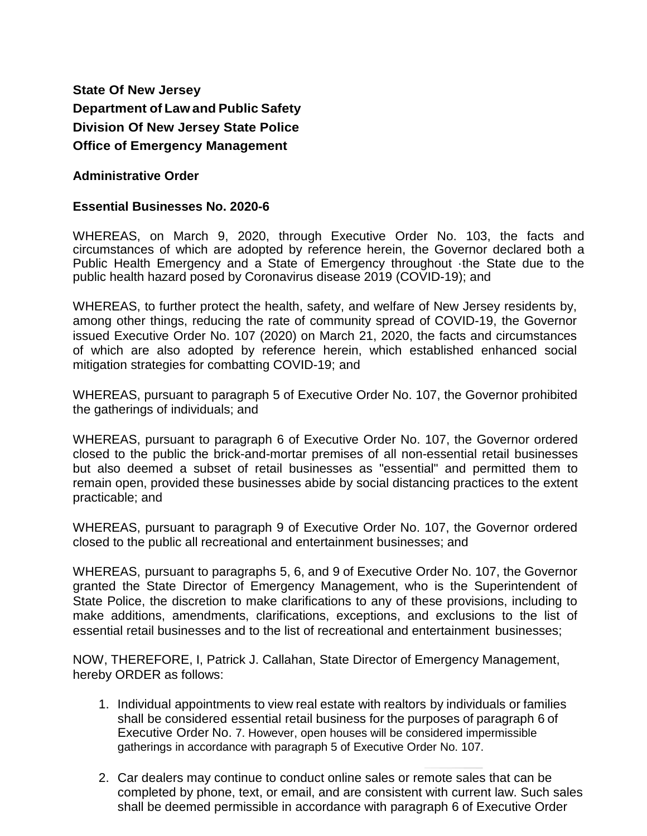**State Of New Jersey Department of Law and Public Safety Division Of New Jersey State Police Office of Emergency Management**

## **Administrative Order**

## **Essential Businesses No. 2020-6**

WHEREAS, on March 9, 2020, through Executive Order No. 103, the facts and circumstances of which are adopted by reference herein, the Governor declared both a Public Health Emergency and a State of Emergency throughout ·the State due to the public health hazard posed by Coronavirus disease 2019 (COVID-19); and

WHEREAS, to further protect the health, safety, and welfare of New Jersey residents by, among other things, reducing the rate of community spread of COVID-19, the Governor issued Executive Order No. 107 (2020) on March 21, 2020, the facts and circumstances of which are also adopted by reference herein, which established enhanced social mitigation strategies for combatting COVID-19; and

WHEREAS, pursuant to paragraph 5 of Executive Order No. 107, the Governor prohibited the gatherings of individuals; and

WHEREAS, pursuant to paragraph 6 of Executive Order No. 107, the Governor ordered closed to the public the brick-and-mortar premises of all non-essential retail businesses but also deemed a subset of retail businesses as "essential" and permitted them to remain open, provided these businesses abide by social distancing practices to the extent practicable; and

WHEREAS, pursuant to paragraph 9 of Executive Order No. 107, the Governor ordered closed to the public all recreational and entertainment businesses; and

WHEREAS, pursuant to paragraphs 5, 6, and 9 of Executive Order No. 107, the Governor granted the State Director of Emergency Management, who is the Superintendent of State Police, the discretion to make clarifications to any of these provisions, including to make additions, amendments, clarifications, exceptions, and exclusions to the list of essential retail businesses and to the list of recreational and entertainment businesses;

NOW, THEREFORE, I, Patrick J. Callahan, State Director of Emergency Management, hereby ORDER as follows:

- 1. Individual appointments to view real estate with realtors by individuals or families shall be considered essential retail business for the purposes of paragraph 6 of Executive Order No. 7. However, open houses will be considered impermissible gatherings in accordance with paragraph 5 of Executive Order No. 107.
- 2. Car dealers may continue to conduct online sales or remote sales that can be completed by phone, text, or email, and are consistent with current law. Such sales shall be deemed permissible in accordance with paragraph 6 of Executive Order